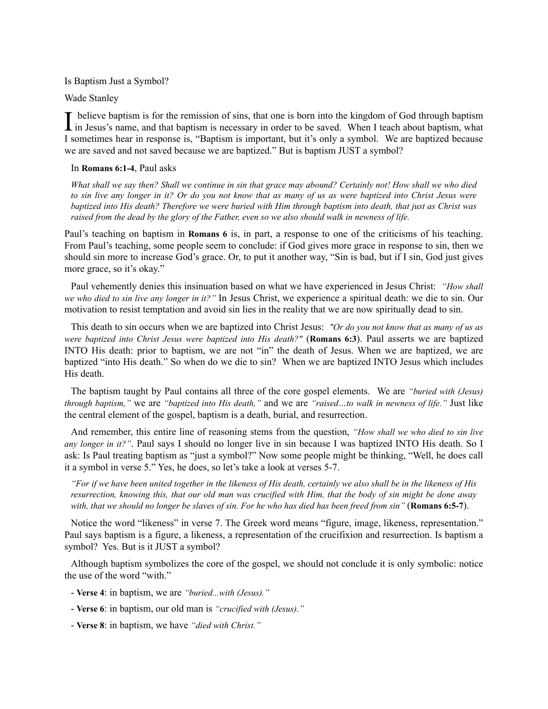Is Baptism Just a Symbol?

Wade Stanley

I believe baptism is for the remission of sins, that one is born into the kingdom of God through baptism in Jesus's name, and that baptism is necessary in order to be saved. When I teach about baptism, what believe baptism is for the remission of sins, that one is born into the kingdom of God through baptism I sometimes hear in response is, "Baptism is important, but it's only a symbol. We are baptized because we are saved and not saved because we are baptized." But is baptism JUST a symbol?

## In **Romans 6:1-4**, Paul asks

*What shall we say then? Shall we continue in sin that grace may abound? Certainly not! How shall we who died to sin live any longer in it? Or do you not know that as many of us as were baptized into Christ Jesus were baptized into His death? Therefore we were buried with Him through baptism into death, that just as Christ was raised from the dead by the glory of the Father, even so we also should walk in newness of life.*

Paul's teaching on baptism in **Romans 6** is, in part, a response to one of the criticisms of his teaching. From Paul's teaching, some people seem to conclude: if God gives more grace in response to sin, then we should sin more to increase God's grace. Or, to put it another way, "Sin is bad, but if I sin, God just gives more grace, so it's okay."

Paul vehemently denies this insinuation based on what we have experienced in Jesus Christ: *"How shall we who died to sin live any longer in it?"* In Jesus Christ, we experience a spiritual death: we die to sin. Our motivation to resist temptation and avoid sin lies in the reality that we are now spiritually dead to sin.

This death to sin occurs when we are baptized into Christ Jesus: *"Or do you not know that as many of us as were baptized into Christ Jesus were baptized into His death?"* (**Romans 6:3**). Paul asserts we are baptized INTO His death: prior to baptism, we are not "in" the death of Jesus. When we are baptized, we are baptized "into His death." So when do we die to sin? When we are baptized INTO Jesus which includes His death.

The baptism taught by Paul contains all three of the core gospel elements. We are *"buried with (Jesus) through baptism,"* we are *"baptized into His death,"* and we are *"raised…to walk in newness of life."* Just like the central element of the gospel, baptism is a death, burial, and resurrection.

And remember, this entire line of reasoning stems from the question, *"How shall we who died to sin live any longer in it?"*. Paul says I should no longer live in sin because I was baptized INTO His death. So I ask: Is Paul treating baptism as "just a symbol?" Now some people might be thinking, "Well, he does call it a symbol in verse 5." Yes, he does, so let's take a look at verses 5-7.

*"For if we have been united together in the likeness of His death, certainly we also shall be in the likeness of His resurrection, knowing this, that our old man was crucified with Him, that the body of sin might be done away with, that we should no longer be slaves of sin. For he who has died has been freed from sin"* (**Romans 6:5-7**).

Notice the word "likeness" in verse 7. The Greek word means "figure, image, likeness, representation." Paul says baptism is a figure, a likeness, a representation of the crucifixion and resurrection. Is baptism a symbol? Yes. But is it JUST a symbol?

Although baptism symbolizes the core of the gospel, we should not conclude it is only symbolic: notice the use of the word "with."

- **Verse 4**: in baptism, we are *"buried...with (Jesus)."*
- **Verse 6**: in baptism, our old man is *"crucified with (Jesus)."*
- **Verse 8**: in baptism, we have *"died with Christ."*